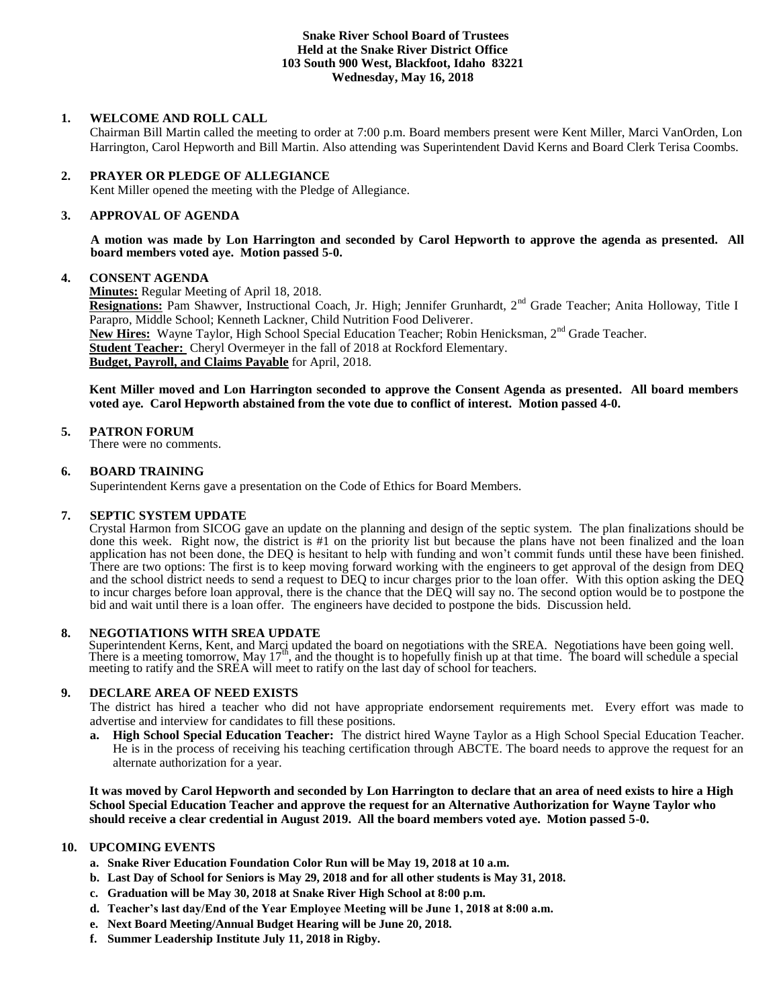### **Snake River School Board of Trustees Held at the Snake River District Office 103 South 900 West, Blackfoot, Idaho 83221 Wednesday, May 16, 2018**

## **1. WELCOME AND ROLL CALL**

Chairman Bill Martin called the meeting to order at 7:00 p.m. Board members present were Kent Miller, Marci VanOrden, Lon Harrington, Carol Hepworth and Bill Martin. Also attending was Superintendent David Kerns and Board Clerk Terisa Coombs.

#### **2. PRAYER OR PLEDGE OF ALLEGIANCE**

Kent Miller opened the meeting with the Pledge of Allegiance.

#### 3. **3. APPROVAL OF AGENDA**

**A motion was made by Lon Harrington and seconded by Carol Hepworth to approve the agenda as presented. All board members voted aye. Motion passed 5-0.**

#### **4. CONSENT AGENDA**

**Minutes:** Regular Meeting of April 18, 2018.

**Resignations:** Pam Shawver, Instructional Coach, Jr. High; Jennifer Grunhardt, 2nd Grade Teacher; Anita Holloway, Title I Parapro, Middle School; Kenneth Lackner, Child Nutrition Food Deliverer. New Hires: Wayne Taylor, High School Special Education Teacher; Robin Henicksman, 2<sup>nd</sup> Grade Teacher.

**Student Teacher:** Cheryl Overmeyer in the fall of 2018 at Rockford Elementary.

**Budget, Payroll, and Claims Payable** for April, 2018.

**Kent Miller moved and Lon Harrington seconded to approve the Consent Agenda as presented. All board members voted aye. Carol Hepworth abstained from the vote due to conflict of interest. Motion passed 4-0.**

#### **5. PATRON FORUM**

There were no comments.

#### **6. BOARD TRAINING**

Superintendent Kerns gave a presentation on the Code of Ethics for Board Members.

#### **7. SEPTIC SYSTEM UPDATE**

Crystal Harmon from SICOG gave an update on the planning and design of the septic system. The plan finalizations should be done this week. Right now, the district is #1 on the priority list but because the plans have not been finalized and the loan application has not been done, the DEQ is hesitant to help with funding and won't commit funds until these have been finished. There are two options: The first is to keep moving forward working with the engineers to get approval of the design from DEQ and the school district needs to send a request to DEQ to incur charges prior to the loan offer. With this option asking the DEQ to incur charges before loan approval, there is the chance that the DEQ will say no. The second option would be to postpone the bid and wait until there is a loan offer. The engineers have decided to postpone the bids. Discussion held.

#### **8. NEGOTIATIONS WITH SREA UPDATE**

Superintendent Kerns, Kent, and Marci updated the board on negotiations with the SREA. Negotiations have been going well.<br>There is a meeting tomorrow, May 17<sup>th</sup>, and the thought is to hopefully finish up at that time. The meeting to ratify and the SREA will meet to ratify on the last day of school for teachers.

#### **9. DECLARE AREA OF NEED EXISTS**

The district has hired a teacher who did not have appropriate endorsement requirements met. Every effort was made to advertise and interview for candidates to fill these positions.

**a. High School Special Education Teacher:** The district hired Wayne Taylor as a High School Special Education Teacher. He is in the process of receiving his teaching certification through ABCTE. The board needs to approve the request for an alternate authorization for a year.

**It was moved by Carol Hepworth and seconded by Lon Harrington to declare that an area of need exists to hire a High School Special Education Teacher and approve the request for an Alternative Authorization for Wayne Taylor who should receive a clear credential in August 2019. All the board members voted aye. Motion passed 5-0.**

# **10. UPCOMING EVENTS**

- **a. Snake River Education Foundation Color Run will be May 19, 2018 at 10 a.m.**
- **b. Last Day of School for Seniors is May 29, 2018 and for all other students is May 31, 2018.**
- **c. Graduation will be May 30, 2018 at Snake River High School at 8:00 p.m.**
- **d. Teacher's last day/End of the Year Employee Meeting will be June 1, 2018 at 8:00 a.m.**
- **e. Next Board Meeting/Annual Budget Hearing will be June 20, 2018.**
- **f. Summer Leadership Institute July 11, 2018 in Rigby.**